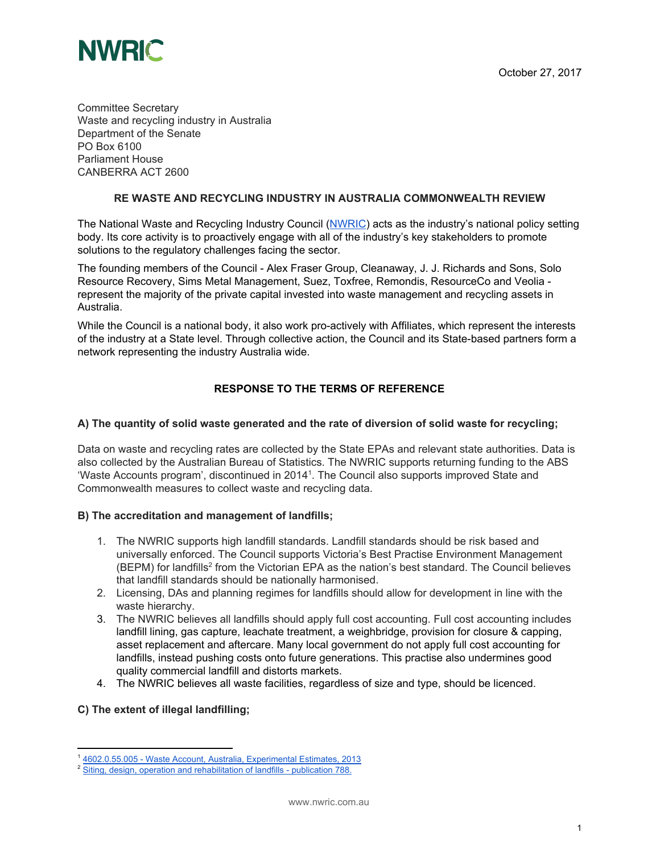

Committee Secretary Waste and recycling industry in Australia Department of the Senate PO Box 6100 Parliament House CANBERRA ACT 2600

#### **RE WASTE AND RECYCLING INDUSTRY IN AUSTRALIA COMMONWEALTH REVIEW**

The National Waste and Recycling Industry Council ([NWRIC\)](http://www.nwric.com.au/) acts as the industry's national policy setting body. Its core activity is to proactively engage with all of the industry's key stakeholders to promote solutions to the regulatory challenges facing the sector.

The founding members of the Council - Alex Fraser Group, Cleanaway, J. J. Richards and Sons, Solo Resource Recovery, Sims Metal Management, Suez, Toxfree, Remondis, ResourceCo and Veolia represent the majority of the private capital invested into waste management and recycling assets in Australia.

While the Council is a national body, it also work pro-actively with Affiliates, which represent the interests of the industry at a State level. Through collective action, the Council and its State-based partners form a network representing the industry Australia wide.

#### **RESPONSE TO THE TERMS OF REFERENCE**

#### **A) The quantity of solid waste generated and the rate of diversion of solid waste for recycling;**

Data on waste and recycling rates are collected by the State EPAs and relevant state authorities. Data is also collected by the Australian Bureau of Statistics. The NWRIC supports returning funding to the ABS 'Waste Accounts program', discontinued in 2014<sup>1</sup>. The Council also supports improved State and Commonwealth measures to collect waste and recycling data.

#### **B) The accreditation and management of landfills;**

- 1. The NWRIC supports high landfill standards. Landfill standards should be risk based and universally enforced. The Council supports Victoria's Best Practise Environment Management (BEPM) for landfills<sup>2</sup> from the Victorian EPA as the nation's best standard. The Council believes that landfill standards should be nationally harmonised.
- 2. Licensing, DAs and planning regimes for landfills should allow for development in line with the waste hierarchy.
- 3. The NWRIC believes all landfills should apply full cost accounting. Full cost accounting includes landfill lining, gas capture, leachate treatment, a weighbridge, provision for closure & capping, asset replacement and aftercare. Many local government do not apply full cost accounting for landfills, instead pushing costs onto future generations. This practise also undermines good quality commercial landfill and distorts markets.
- 4. The NWRIC believes all waste facilities, regardless of size and type, should be licenced.

#### **C) The extent of illegal landfilling;**

<sup>1</sup> [4602.0.55.005](http://www.abs.gov.au/ausstats/abs@.nsf/Products/4602.0.55.005~2013~Main+Features~Main+Findings?OpenDocument) - Waste Account, Australia, Experimental Estimates, 2013

<sup>&</sup>lt;sup>2</sup> Siting, design, operation and [rehabilitation](http://www.epa.vic.gov.au/our-work/publications/publication/2015/august/788-3) of landfills - publication 788.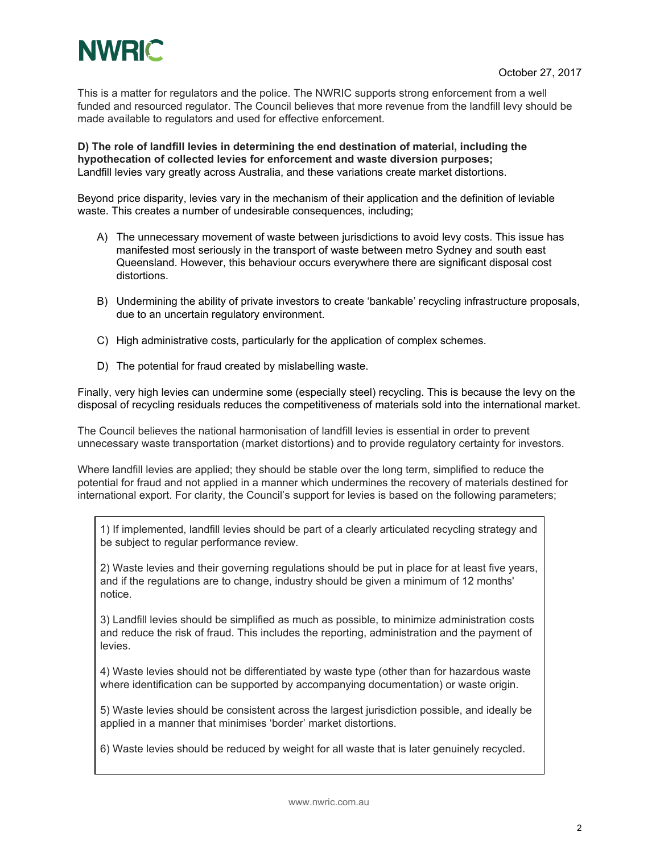

This is a matter for regulators and the police. The NWRIC supports strong enforcement from a well funded and resourced regulator. The Council believes that more revenue from the landfill levy should be made available to regulators and used for effective enforcement.

**D) The role of landfill levies in determining the end destination of material, including the hypothecation of collected levies for enforcement and waste diversion purposes;** Landfill levies vary greatly across Australia, and these variations create market distortions.

Beyond price disparity, levies vary in the mechanism of their application and the definition of leviable waste. This creates a number of undesirable consequences, including;

- A) The unnecessary movement of waste between jurisdictions to avoid levy costs. This issue has manifested most seriously in the transport of waste between metro Sydney and south east Queensland. However, this behaviour occurs everywhere there are significant disposal cost distortions.
- B) Undermining the ability of private investors to create 'bankable' recycling infrastructure proposals, due to an uncertain regulatory environment.
- C) High administrative costs, particularly for the application of complex schemes.
- D) The potential for fraud created by mislabelling waste.

Finally, very high levies can undermine some (especially steel) recycling. This is because the levy on the disposal of recycling residuals reduces the competitiveness of materials sold into the international market.

The Council believes the national harmonisation of landfill levies is essential in order to prevent unnecessary waste transportation (market distortions) and to provide regulatory certainty for investors.

Where landfill levies are applied; they should be stable over the long term, simplified to reduce the potential for fraud and not applied in a manner which undermines the recovery of materials destined for international export. For clarity, the Council's support for levies is based on the following parameters;

1) If implemented, landfill levies should be part of a clearly articulated recycling strategy and be subject to regular performance review.

2) Waste levies and their governing regulations should be put in place for at least five years, and if the regulations are to change, industry should be given a minimum of 12 months' notice.

3) Landfill levies should be simplified as much as possible, to minimize administration costs and reduce the risk of fraud. This includes the reporting, administration and the payment of levies.

4) Waste levies should not be differentiated by waste type (other than for hazardous waste where identification can be supported by accompanying documentation) or waste origin.

5) Waste levies should be consistent across the largest jurisdiction possible, and ideally be applied in a manner that minimises 'border' market distortions.

6) Waste levies should be reduced by weight for all waste that is later genuinely recycled.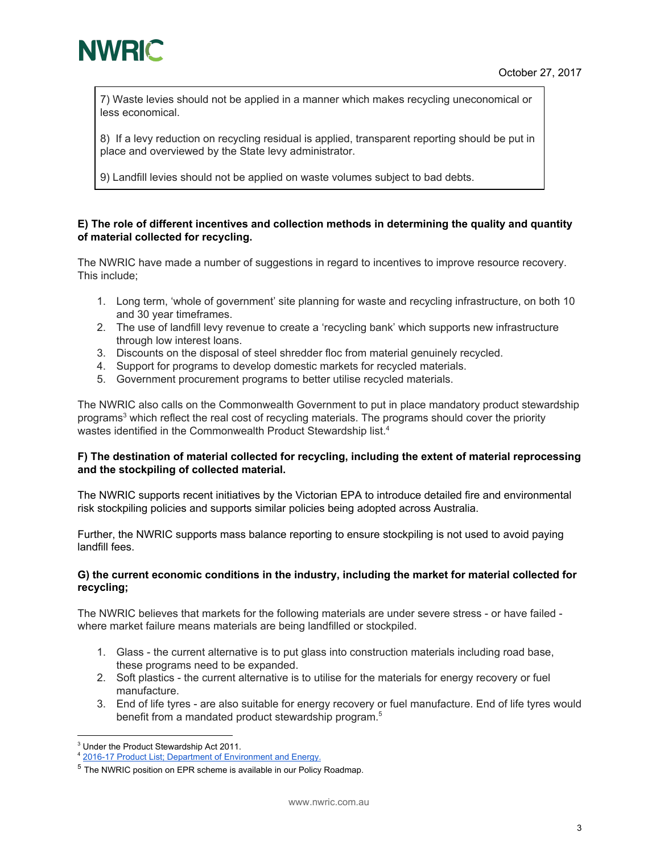

7) Waste levies should not be applied in a manner which makes recycling uneconomical or less economical.

8) If a levy reduction on recycling residual is applied, transparent reporting should be put in place and overviewed by the State levy administrator.

9) Landfill levies should not be applied on waste volumes subject to bad debts.

#### **E) The role of different incentives and collection methods in determining the quality and quantity of material collected for recycling.**

The NWRIC have made a number of suggestions in regard to incentives to improve resource recovery. This include;

- 1. Long term, 'whole of government' site planning for waste and recycling infrastructure, on both 10 and 30 year timeframes.
- 2. The use of landfill levy revenue to create a 'recycling bank' which supports new infrastructure through low interest loans.
- 3. Discounts on the disposal of steel shredder floc from material genuinely recycled.
- 4. Support for programs to develop domestic markets for recycled materials.
- 5. Government procurement programs to better utilise recycled materials.

The NWRIC also calls on the Commonwealth Government to put in place mandatory product stewardship programs<sup>3</sup> which reflect the real cost of recycling materials. The programs should cover the priority wastes identified in the Commonwealth Product Stewardship list.<sup>4</sup>

#### **F) The destination of material collected for recycling, including the extent of material reprocessing and the stockpiling of collected material.**

The NWRIC supports recent initiatives by the Victorian EPA to introduce detailed fire and environmental risk stockpiling policies and supports similar policies being adopted across Australia.

Further, the NWRIC supports mass balance reporting to ensure stockpiling is not used to avoid paying landfill fees.

#### **G) the current economic conditions in the industry, including the market for material collected for recycling;**

The NWRIC believes that markets for the following materials are under severe stress - or have failed where market failure means materials are being landfilled or stockpiled.

- 1. Glass the current alternative is to put glass into construction materials including road base, these programs need to be expanded.
- 2. Soft plastics the current alternative is to utilise for the materials for energy recovery or fuel manufacture.
- 3. End of life tyres are also suitable for energy recovery or fuel manufacture. End of life tyres would benefit from a mandated product stewardship program. 5

<sup>3</sup> Under the Product Stewardship Act 2011.

<sup>4</sup> 2016-17 Product List; Department of [Environment](http://www.environment.gov.au/protection/national-waste-policy/product-stewardship/legislation/product-list-2016-17) and Energy.

<sup>&</sup>lt;sup>5</sup> The NWRIC position on EPR scheme is available in our Policy Roadmap.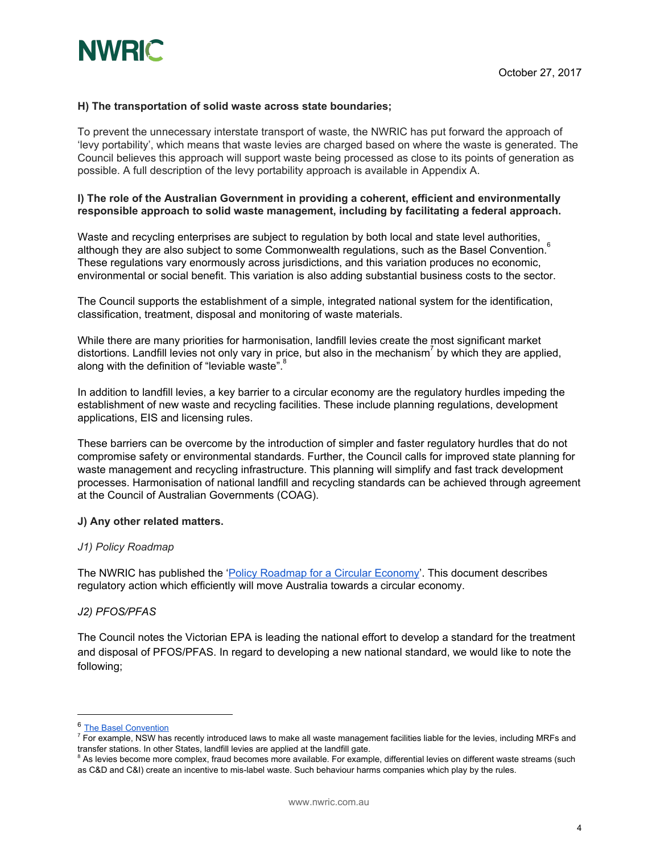

#### **H) The transportation of solid waste across state boundaries;**

To prevent the unnecessary interstate transport of waste, the NWRIC has put forward the approach of 'levy portability', which means that waste levies are charged based on where the waste is generated. The Council believes this approach will support waste being processed as close to its points of generation as possible. A full description of the levy portability approach is available in Appendix A.

#### **I) The role of the Australian Government in providing a coherent, efficient and environmentally responsible approach to solid waste management, including by facilitating a federal approach.**

Waste and recycling enterprises are subject to regulation by both local and state level authorities, although they are also subject to some Commonwealth regulations, such as the Basel Convention. $^{\rm 6}$ These regulations vary enormously across jurisdictions, and this variation produces no economic, environmental or social benefit. This variation is also adding substantial business costs to the sector.

The Council supports the establishment of a simple, integrated national system for the identification, classification, treatment, disposal and monitoring of waste materials.

While there are many priorities for harmonisation, landfill levies create the most significant market distortions. Landfill levies not only vary in price, but also in the mechanism<sup>7</sup> by which they are applied, along with the definition of "leviable waste".<sup>8</sup>

In addition to landfill levies, a key barrier to a circular economy are the regulatory hurdles impeding the establishment of new waste and recycling facilities. These include planning regulations, development applications, EIS and licensing rules.

These barriers can be overcome by the introduction of simpler and faster regulatory hurdles that do not compromise safety or environmental standards. Further, the Council calls for improved state planning for waste management and recycling infrastructure. This planning will simplify and fast track development processes. Harmonisation of national landfill and recycling standards can be achieved through agreement at the Council of Australian Governments (COAG).

#### **J) Any other related matters.**

#### *J1) Policy Roadmap*

The NWRIC has published the 'Policy [Roadmap](http://www.nwric.com.au/policy/) for a Circular Economy'. This document describes regulatory action which efficiently will move Australia towards a circular economy.

#### *J2) PFOS/PFAS*

The Council notes the Victorian EPA is leading the national effort to develop a standard for the treatment and disposal of PFOS/PFAS. In regard to developing a new national standard, we would like to note the following;

<sup>6</sup> The Basel [Convention](http://www.basel.int/)

 $^7$  For example, NSW has recently introduced laws to make all waste management facilities liable for the levies, including MRFs and transfer stations. In other States, landfill levies are applied at the landfill gate.

<sup>&</sup>lt;sup>8</sup> As levies become more complex, fraud becomes more available. For example, differential levies on different waste streams (such as C&D and C&I) create an incentive to mis-label waste. Such behaviour harms companies which play by the rules.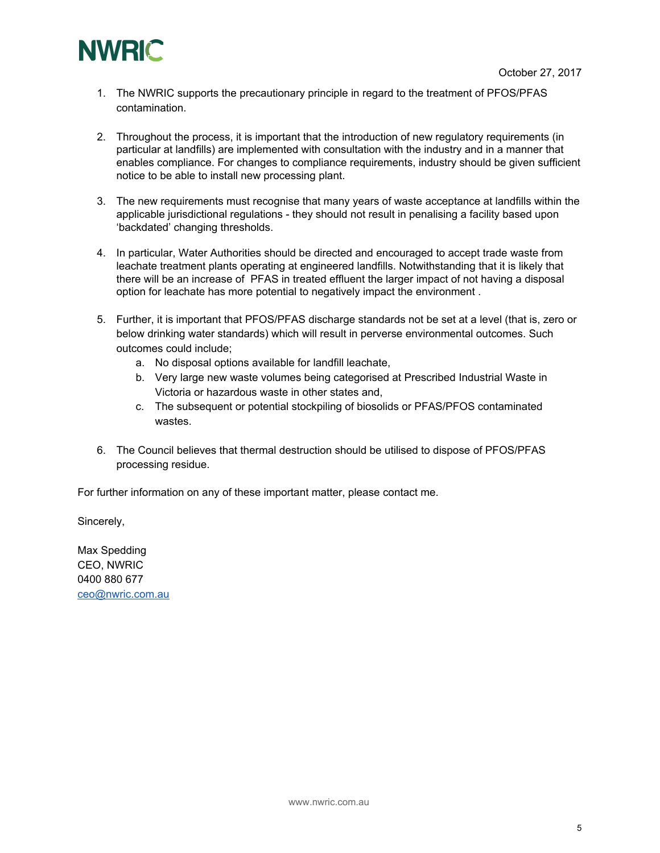

- 1. The NWRIC supports the precautionary principle in regard to the treatment of PFOS/PFAS contamination.
- 2. Throughout the process, it is important that the introduction of new regulatory requirements (in particular at landfills) are implemented with consultation with the industry and in a manner that enables compliance. For changes to compliance requirements, industry should be given sufficient notice to be able to install new processing plant.
- 3. The new requirements must recognise that many years of waste acceptance at landfills within the applicable jurisdictional regulations - they should not result in penalising a facility based upon 'backdated' changing thresholds.
- 4. In particular, Water Authorities should be directed and encouraged to accept trade waste from leachate treatment plants operating at engineered landfills. Notwithstanding that it is likely that there will be an increase of PFAS in treated effluent the larger impact of not having a disposal option for leachate has more potential to negatively impact the environment .
- 5. Further, it is important that PFOS/PFAS discharge standards not be set at a level (that is, zero or below drinking water standards) which will result in perverse environmental outcomes. Such outcomes could include;
	- a. No disposal options available for landfill leachate,
	- b. Very large new waste volumes being categorised at Prescribed Industrial Waste in Victoria or hazardous waste in other states and,
	- c. The subsequent or potential stockpiling of biosolids or PFAS/PFOS contaminated wastes.
- 6. The Council believes that thermal destruction should be utilised to dispose of PFOS/PFAS processing residue.

For further information on any of these important matter, please contact me.

Sincerely,

Max Spedding CEO, NWRIC 0400 880 677 [ceo@nwric.com.au](mailto:ceo@nwric.com.au)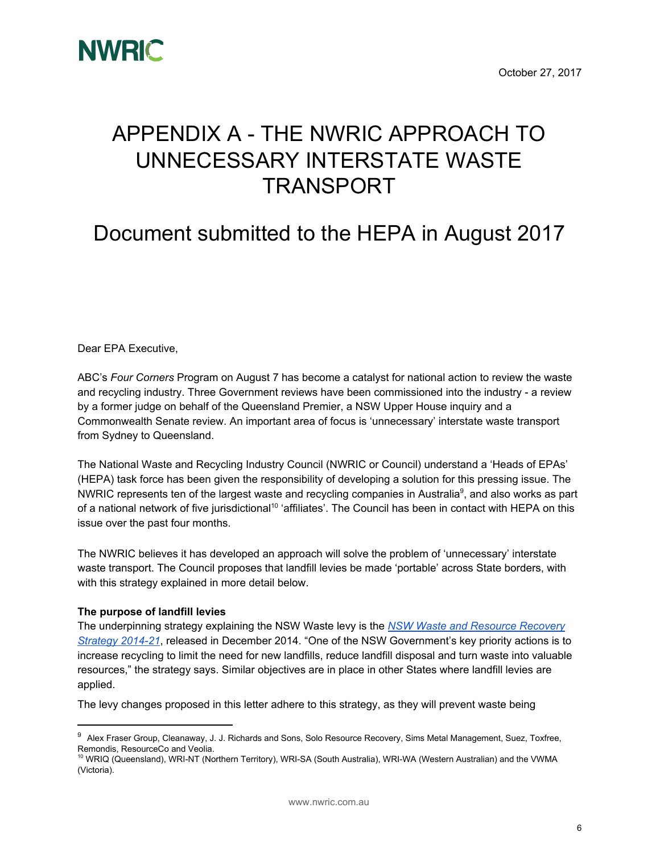

# APPENDIX A - THE NWRIC APPROACH TO UNNECESSARY INTERSTATE WASTE TRANSPORT

# Document submitted to the HEPA in August 2017

Dear EPA Executive,

ABC's *Four Corners* Program on August 7 has become a catalyst for national action to review the waste and recycling industry. Three Government reviews have been commissioned into the industry - a review by a former judge on behalf of the Queensland Premier, a NSW Upper House inquiry and a Commonwealth Senate review. An important area of focus is 'unnecessary' interstate waste transport from Sydney to Queensland.

The National Waste and Recycling Industry Council (NWRIC or Council) understand a 'Heads of EPAs' (HEPA) task force has been given the responsibility of developing a solution for this pressing issue. The NWRIC represents ten of the largest waste and recycling companies in Australia<sup>9</sup>, and also works as part of a national network of five jurisdictional<sup>10</sup> 'affiliates'. The Council has been in contact with HEPA on this issue over the past four months.

The NWRIC believes it has developed an approach will solve the problem of 'unnecessary' interstate waste transport. The Council proposes that landfill levies be made 'portable' across State borders, with with this strategy explained in more detail below.

#### **The purpose of landfill levies**

The underpinning strategy explaining the NSW Waste levy is the *NSW Waste and [Resource](http://www.epa.nsw.gov.au/resources/wastestrategy/140876-WARR-strategy-14-21.pdf) Recovery [Strategy](http://www.epa.nsw.gov.au/resources/wastestrategy/140876-WARR-strategy-14-21.pdf) 2014-21*, released in December 2014. "One of the NSW Government's key priority actions is to increase recycling to limit the need for new landfills, reduce landfill disposal and turn waste into valuable resources," the strategy says. Similar objectives are in place in other States where landfill levies are applied.

The levy changes proposed in this letter adhere to this strategy, as they will prevent waste being

<sup>&</sup>lt;sup>9</sup> Alex Fraser Group, Cleanaway, J. J. Richards and Sons, Solo Resource Recovery, Sims Metal Management, Suez, Toxfree, Remondis, ResourceCo and Veolia.

<sup>&</sup>lt;sup>10</sup> WRIQ (Queensland), WRI-NT (Northern Territory), WRI-SA (South Australia), WRI-WA (Western Australian) and the VWMA (Victoria).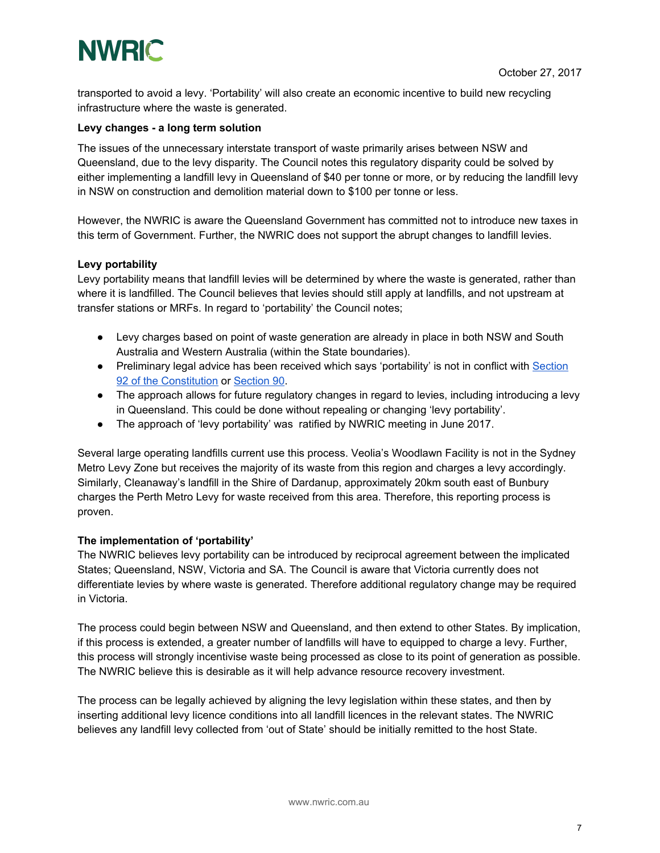# **NWRIC**

transported to avoid a levy. 'Portability' will also create an economic incentive to build new recycling infrastructure where the waste is generated.

#### **Levy changes - a long term solution**

The issues of the unnecessary interstate transport of waste primarily arises between NSW and Queensland, due to the levy disparity. The Council notes this regulatory disparity could be solved by either implementing a landfill levy in Queensland of \$40 per tonne or more, or by reducing the landfill levy in NSW on construction and demolition material down to \$100 per tonne or less.

However, the NWRIC is aware the Queensland Government has committed not to introduce new taxes in this term of Government. Further, the NWRIC does not support the abrupt changes to landfill levies.

#### **Levy portability**

Levy portability means that landfill levies will be determined by where the waste is generated, rather than where it is landfilled. The Council believes that levies should still apply at landfills, and not upstream at transfer stations or MRFs. In regard to 'portability' the Council notes;

- Levy charges based on point of waste generation are already in place in both NSW and South Australia and Western Australia (within the State boundaries).
- Preliminary legal advice has been received which says 'portability' is not in conflict with [Section](http://www.austlii.edu.au/cgi-bin/viewdoc/au/legis/cth/consol_act/coaca430/s92.html) 92 of the [Constitution](http://www.austlii.edu.au/cgi-bin/viewdoc/au/legis/cth/consol_act/coaca430/s92.html) or [Section](http://www.austlii.edu.au/cgi-bin/viewdoc/au/legis/cth/consol_act/coaca430/s90.html) 90.
- The approach allows for future regulatory changes in regard to levies, including introducing a levy in Queensland. This could be done without repealing or changing 'levy portability'.
- The approach of 'levy portability' was ratified by NWRIC meeting in June 2017.

Several large operating landfills current use this process. Veolia's Woodlawn Facility is not in the Sydney Metro Levy Zone but receives the majority of its waste from this region and charges a levy accordingly. Similarly, Cleanaway's landfill in the Shire of Dardanup, approximately 20km south east of Bunbury charges the Perth Metro Levy for waste received from this area. Therefore, this reporting process is proven.

#### **The implementation of 'portability'**

The NWRIC believes levy portability can be introduced by reciprocal agreement between the implicated States; Queensland, NSW, Victoria and SA. The Council is aware that Victoria currently does not differentiate levies by where waste is generated. Therefore additional regulatory change may be required in Victoria.

The process could begin between NSW and Queensland, and then extend to other States. By implication, if this process is extended, a greater number of landfills will have to equipped to charge a levy. Further, this process will strongly incentivise waste being processed as close to its point of generation as possible. The NWRIC believe this is desirable as it will help advance resource recovery investment.

The process can be legally achieved by aligning the levy legislation within these states, and then by inserting additional levy licence conditions into all landfill licences in the relevant states. The NWRIC believes any landfill levy collected from 'out of State' should be initially remitted to the host State.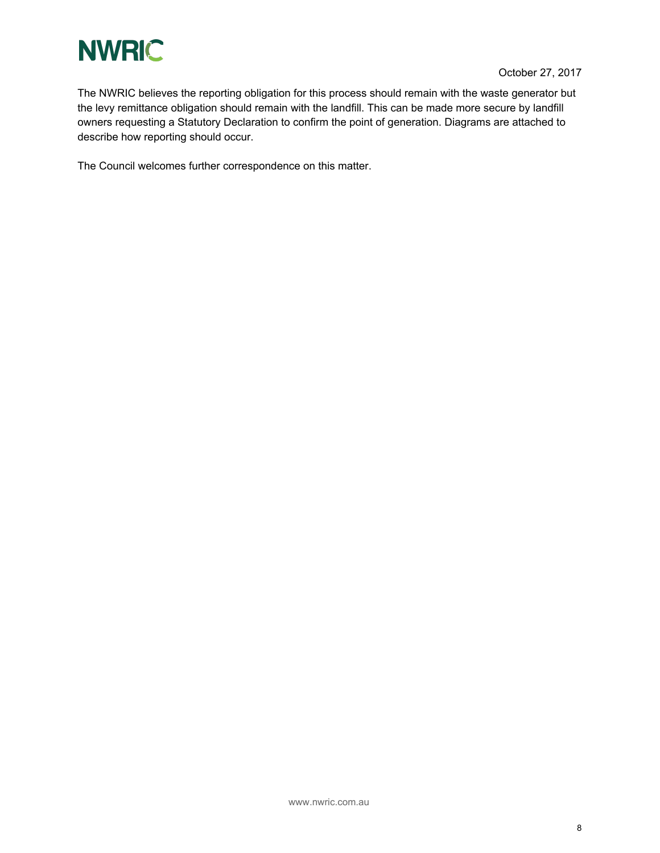

The NWRIC believes the reporting obligation for this process should remain with the waste generator but the levy remittance obligation should remain with the landfill. This can be made more secure by landfill owners requesting a Statutory Declaration to confirm the point of generation. Diagrams are attached to describe how reporting should occur.

The Council welcomes further correspondence on this matter.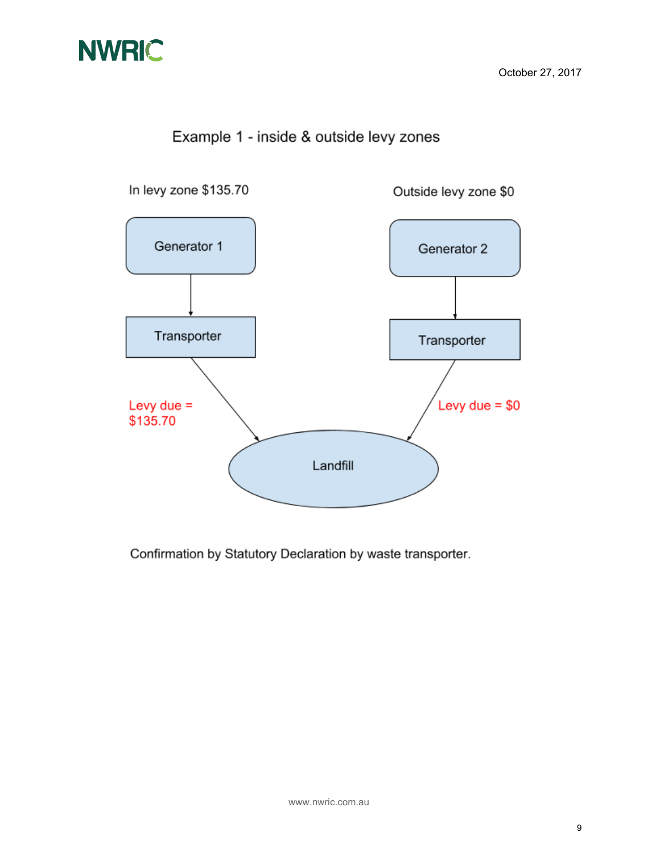

## Example 1 - inside & outside levy zones



Confirmation by Statutory Declaration by waste transporter.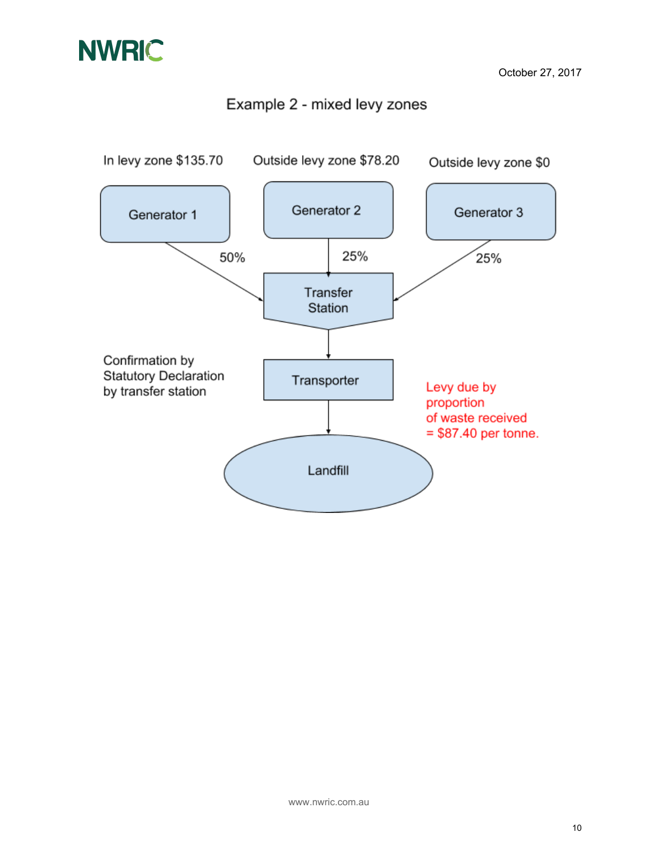### Example 2 - mixed levy zones